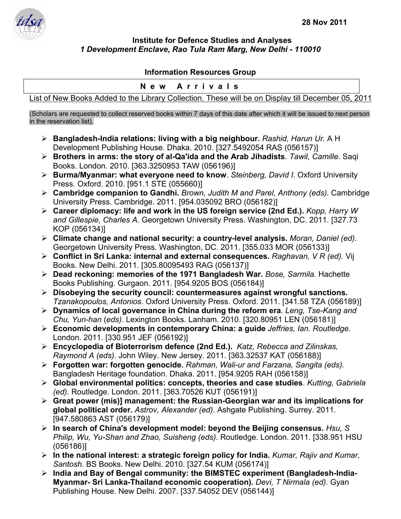

## **Institute for Defence Studies and Analyses**  *1 Development Enclave, Rao Tula Ram Marg, New Delhi - 110010*

## **Information Resources Group**

## **New Arrivals**

List of New Books Added to the Library Collection. These will be on Display till December 05, 2011

(Scholars are requested to collect reserved books within 7 days of this date after which it will be issued to next person in the reservation list).

- ¾ **Bangladesh-India relations: living with a big neighbour.** *Rashid, Harun Ur.* A H Development Publishing House. Dhaka. 2010. [327.5492054 RAS (056157)]
- ¾ **Brothers in arms: the story of al-Qa'ida and the Arab Jihadists**. *Tawil, Camille*. Saqi Books. London. 2010. [363.3250953 TAW (056196)]
- ¾ **Burma/Myanmar: what everyone need to know**. *Steinberg, David I*. Oxford University Press. Oxford. 2010. [951.1 STE (055660)]
- ¾ **Cambridge companion to Gandhi.** *Brown, Judith M and Parel, Anthony (eds).* Cambridge University Press. Cambridge. 2011. [954.035092 BRO (056182)]
- ¾ **Career diplomacy: life and work in the US foreign service (2nd Ed.).** *Kopp, Harry W and Gillespie, Charles A.* Georgetown University Press. Washington, DC. 2011. [327.73 KOP (056134)]
- ¾ **Climate change and national security: a country-level analysis.** *Moran, Daniel (ed).*  Georgetown University Press. Washington, DC. 2011. [355.033 MOR (056133)]
- ¾ **Conflict in Sri Lanka: internal and external consequences.** *Raghavan, V R (ed).* Vij Books. New Delhi. 2011. [305.80095493 RAG (056137)]
- ¾ **Dead reckoning: memories of the 1971 Bangladesh War.** *Bose, Sarmila.* Hachette Books Publishing. Gurgaon. 2011. [954.9205 BOS (056184)]
- ¾ **Disobeying the security council: countermeasures against wrongful sanctions.** *Tzanakopoulos, Antonios*. Oxford University Press. Oxford. 2011. [341.58 TZA (056189)]
- ¾ **Dynamics of local governance in China during the reform era**. *Leng, Tse-Kang and Chu, Yun-han* (*eds).* Lexington Books. Lanham. 2010. [320.80951 LEN (056181)]
- ¾ **Economic developments in contemporary China: a guide** *Jeffries, Ian. Routledge.* London. 2011. [330.951 JEF (056192)]
- ¾ **Encyclopedia of Bioterrorism defence (2nd Ed.).** *Katz, Rebecca and Zilinskas, Raymond A (eds).* John Wiley. New Jersey. 2011. [363.32537 KAT (056188)]
- ¾ **Forgotten war: forgotten genocide.** *Rahman, Wali-ur and Farzana, Sangita (eds).*  Bangladesh Heritage foundation. Dhaka. 2011. [954.9205 RAH (056158)]
- ¾ **Global environmental politics: concepts, theories and case studies**. *Kutting, Gabriela (ed)*. Routledge. London. 2011. [363.70526 KUT (056191)]
- ¾ **Great power (mis)] management: the Russian-Georgian war and its implications for global political order.** *Astrov, Alexander (ed).* Ashgate Publishing. Surrey. 2011. [947.580863 AST (056179)]
- ¾ **In search of China's development model: beyond the Beijing consensus.** *Hsu, S Philip, Wu, Yu-Shan and Zhao, Suisheng (eds).* Routledge. London. 2011. [338.951 HSU (056186)]
- ¾ **In the national interest: a strategic foreign policy for India.** *Kumar, Rajiv and Kumar, Santosh.* BS Books. New Delhi. 2010. [327.54 KUM (056174)]
- ¾ **India and Bay of Bengal community: the BIMSTEC experiment (Bangladesh-India-Myanmar- Sri Lanka-Thailand economic cooperation).** *Devi, T Nirmala (ed).* Gyan Publishing House. New Delhi. 2007. [337.54052 DEV (056144)]